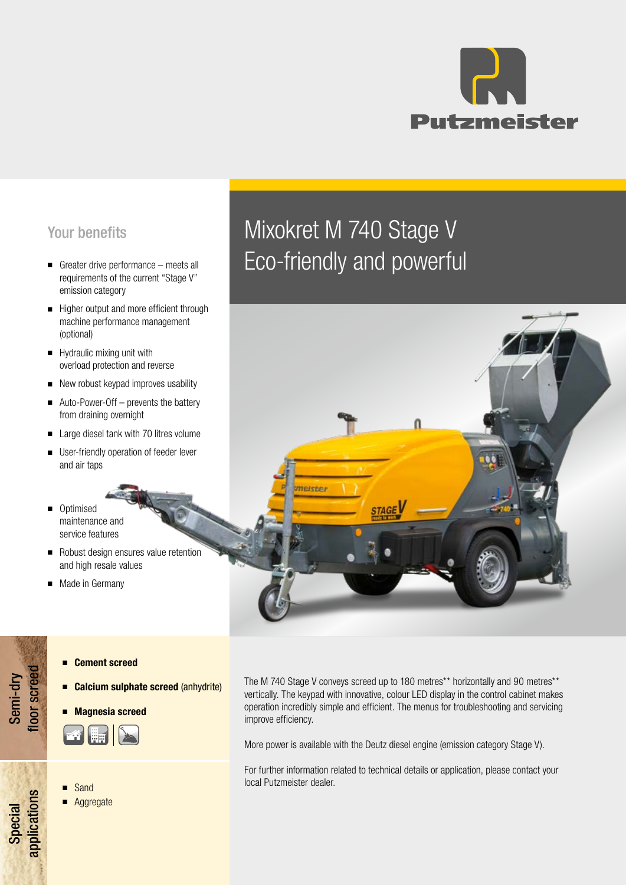

## Your benefits

- emission category
- Higher output and more efficient through machine performance management (optional)
- Hydraulic mixing unit with overload protection and reverse
- New robust keypad improves usability
- Auto-Power-Off prevents the battery from draining overnight
- Large diesel tank with 70 litres volume
- User-friendly operation of feeder lever and air taps
- Optimised maintenance and service features
- Robust design ensures value retention and high resale values
- Made in Germany

# Mixokret M 740 Stage V ■ Greater drive performance – meets all ECO-friendly and powerful



#### ■ Cement screed

- Calcium sulphate screed (anhydrite)
- **Magnesia screed**



#### **Sand**

Semi-dry floor screed

**Toor screed** 

Special<br>applications applications

**Aggregate** 

The M 740 Stage V conveys screed up to 180 metres\*\* horizontally and 90 metres\*\* vertically. The keypad with innovative, colour LED display in the control cabinet makes operation incredibly simple and efficient. The menus for troubleshooting and servicing improve efficiency.

More power is available with the Deutz diesel engine (emission category Stage V).

For further information related to technical details or application, please contact your local Putzmeister dealer.